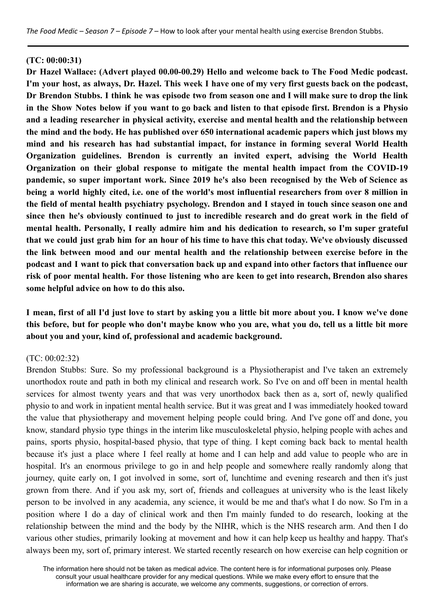#### **(TC: 00:00:31)**

**Dr Hazel Wallace: (Advert played 00.00-00.29) Hello and welcome back to The Food Medic podcast.** I'm your host, as always, Dr. Hazel. This week I have one of my very first guests back on the podcast, Dr Brendon Stubbs. I think he was episode two from season one and I will make sure to drop the link in the Show Notes below if you want to go back and listen to that episode first. Brendon is a Physio **and a leading researcher in physical activity, exercise and mental health and the relationship between the mind and the body. He has published over 650 international academic papers which just blows my mind and his research has had substantial impact, for instance in forming several World Health Organization guidelines. Brendon is currently an invited expert, advising the World Health Organization on their global response to mitigate the mental health impact from the COVID-19 pandemic, so super important work. Since 2019 he's also been recognised by the Web of Science as** being a world highly cited, i.e. one of the world's most influential researchers from over 8 million in **the field of mental health psychiatry psychology. Brendon and I stayed in touch since season one and** since then he's obviously continued to just to incredible research and do great work in the field of **mental health. Personally, I really admire him and his dedication to research, so I'm super grateful** that we could just grab him for an hour of his time to have this chat today. We've obviously discussed **the link between mood and our mental health and the relationship between exercise before in the** podcast and I want to pick that conversation back up and expand into other factors that influence our risk of poor mental health. For those listening who are keen to get into research, Brendon also shares **some helpful advice on how to do this also.**

# I mean, first of all I'd just love to start by asking you a little bit more about you. I know we've done this before, but for people who don't maybe know who you are, what you do, tell us a little bit more **about you and your, kind of, professional and academic background.**

#### (TC: 00:02:32)

Brendon Stubbs: Sure. So my professional background is a Physiotherapist and I've taken an extremely unorthodox route and path in both my clinical and research work. So I've on and off been in mental health services for almost twenty years and that was very unorthodox back then as a, sort of, newly qualified physio to and work in inpatient mental health service. But it was great and I was immediately hooked toward the value that physiotherapy and movement helping people could bring. And I've gone off and done, you know, standard physio type things in the interim like musculoskeletal physio, helping people with aches and pains, sports physio, hospital-based physio, that type of thing. I kept coming back back to mental health because it's just a place where I feel really at home and I can help and add value to people who are in hospital. It's an enormous privilege to go in and help people and somewhere really randomly along that journey, quite early on, I got involved in some, sort of, lunchtime and evening research and then it's just grown from there. And if you ask my, sort of, friends and colleagues at university who is the least likely person to be involved in any academia, any science, it would be me and that's what I do now. So I'm in a position where I do a day of clinical work and then I'm mainly funded to do research, looking at the relationship between the mind and the body by the NIHR, which is the NHS research arm. And then I do various other studies, primarily looking at movement and how it can help keep us healthy and happy. That's always been my, sort of, primary interest. We started recently research on how exercise can help cognition or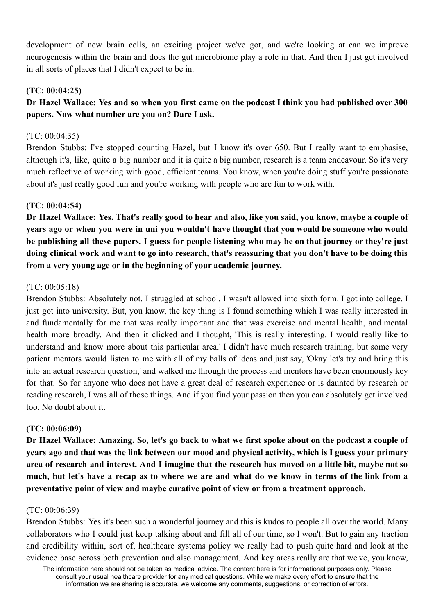development of new brain cells, an exciting project we've got, and we're looking at can we improve neurogenesis within the brain and does the gut microbiome play a role in that. And then I just get involved in all sorts of places that I didn't expect to be in.

# **(TC: 00:04:25)**

# Dr Hazel Wallace: Yes and so when you first came on the podcast I think you had published over 300 **papers. Now what number are you on? Dare I ask.**

# (TC: 00:04:35)

Brendon Stubbs: I've stopped counting Hazel, but I know it's over 650. But I really want to emphasise, although it's, like, quite a big number and it is quite a big number, research is a team endeavour. So it's very much reflective of working with good, efficient teams. You know, when you're doing stuff you're passionate about it's just really good fun and you're working with people who are fun to work with.

# **(TC: 00:04:54)**

Dr Hazel Wallace: Yes. That's really good to hear and also, like you said, you know, maybe a couple of vears ago or when you were in uni you wouldn't have thought that you would be someone who would be publishing all these papers. I guess for people listening who may be on that journey or they're just doing clinical work and want to go into research, that's reassuring that you don't have to be doing this **from a very young age or in the beginning of your academic journey.**

# (TC: 00:05:18)

Brendon Stubbs: Absolutely not. I struggled at school. I wasn't allowed into sixth form. I got into college. I just got into university. But, you know, the key thing is I found something which I was really interested in and fundamentally for me that was really important and that was exercise and mental health, and mental health more broadly. And then it clicked and I thought, 'This is really interesting. I would really like to understand and know more about this particular area.' I didn't have much research training, but some very patient mentors would listen to me with all of my balls of ideas and just say, 'Okay let's try and bring this into an actual research question,' and walked me through the process and mentors have been enormously key for that. So for anyone who does not have a great deal of research experience or is daunted by research or reading research, I was all of those things. And if you find your passion then you can absolutely get involved too. No doubt about it.

# **(TC: 00:06:09)**

Dr Hazel Wallace: Amazing. So, let's go back to what we first spoke about on the podcast a couple of years ago and that was the link between our mood and physical activity, which is I guess your primary area of research and interest. And I imagine that the research has moved on a little bit, maybe not so much, but let's have a recap as to where we are and what do we know in terms of the link from a **preventative point of view and maybe curative point of view or from a treatment approach.**

# (TC: 00:06:39)

Brendon Stubbs: Yes it's been such a wonderful journey and this is kudos to people all over the world. Many collaborators who I could just keep talking about and fill all of our time, so I won't. But to gain any traction and credibility within, sort of, healthcare systems policy we really had to push quite hard and look at the evidence base across both prevention and also management. And key areas really are that we've, you know,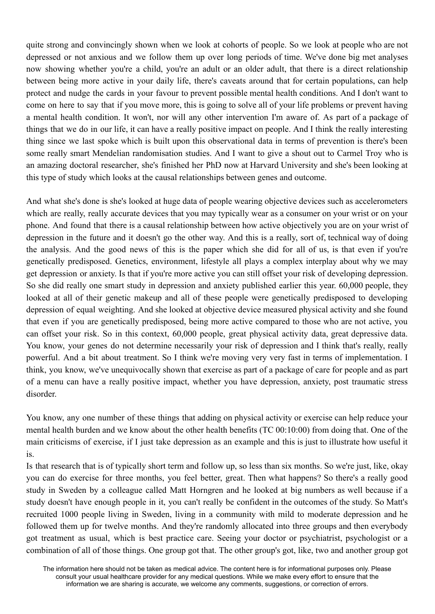quite strong and convincingly shown when we look at cohorts of people. So we look at people who are not depressed or not anxious and we follow them up over long periods of time. We've done big met analyses now showing whether you're a child, you're an adult or an older adult, that there is a direct relationship between being more active in your daily life, there's caveats around that for certain populations, can help protect and nudge the cards in your favour to prevent possible mental health conditions. And I don't want to come on here to say that if you move more, this is going to solve all of your life problems or prevent having a mental health condition. It won't, nor will any other intervention I'm aware of. As part of a package of things that we do in our life, it can have a really positive impact on people. And I think the really interesting thing since we last spoke which is built upon this observational data in terms of prevention is there's been some really smart Mendelian randomisation studies. And I want to give a shout out to Carmel Troy who is an amazing doctoral researcher, she's finished her PhD now at Harvard University and she's been looking at this type of study which looks at the causal relationships between genes and outcome.

And what she's done is she's looked at huge data of people wearing objective devices such as accelerometers which are really, really accurate devices that you may typically wear as a consumer on your wrist or on your phone. And found that there is a causal relationship between how active objectively you are on your wrist of depression in the future and it doesn't go the other way. And this is a really, sort of, technical way of doing the analysis. And the good news of this is the paper which she did for all of us, is that even if you're genetically predisposed. Genetics, environment, lifestyle all plays a complex interplay about why we may get depression or anxiety. Is that if you're more active you can still offset your risk of developing depression. So she did really one smart study in depression and anxiety published earlier this year. 60,000 people, they looked at all of their genetic makeup and all of these people were genetically predisposed to developing depression of equal weighting. And she looked at objective device measured physical activity and she found that even if you are genetically predisposed, being more active compared to those who are not active, you can offset your risk. So in this context, 60,000 people, great physical activity data, great depressive data. You know, your genes do not determine necessarily your risk of depression and I think that's really, really powerful. And a bit about treatment. So I think we're moving very very fast in terms of implementation. I think, you know, we've unequivocally shown that exercise as part of a package of care for people and as part of a menu can have a really positive impact, whether you have depression, anxiety, post traumatic stress disorder.

You know, any one number of these things that adding on physical activity or exercise can help reduce your mental health burden and we know about the other health benefits (TC 00:10:00) from doing that. One of the main criticisms of exercise, if I just take depression as an example and this is just to illustrate how useful it is.

Is that research that is of typically short term and follow up, so less than six months. So we're just, like, okay you can do exercise for three months, you feel better, great. Then what happens? So there's a really good study in Sweden by a colleague called Matt Horngren and he looked at big numbers as well because if a study doesn't have enough people in it, you can't really be confident in the outcomes of the study. So Matt's recruited 1000 people living in Sweden, living in a community with mild to moderate depression and he followed them up for twelve months. And they're randomly allocated into three groups and then everybody got treatment as usual, which is best practice care. Seeing your doctor or psychiatrist, psychologist or a combination of all of those things. One group got that. The other group's got, like, two and another group got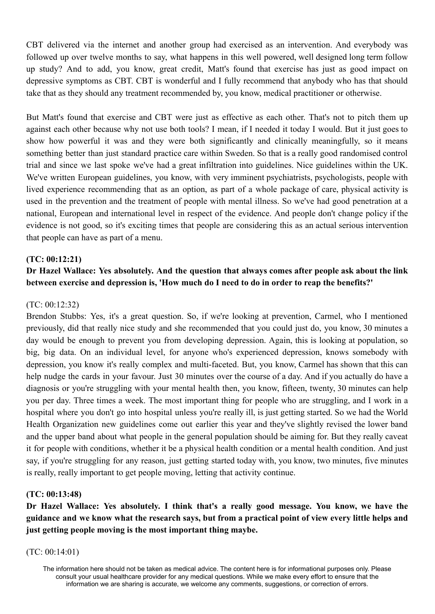CBT delivered via the internet and another group had exercised as an intervention. And everybody was followed up over twelve months to say, what happens in this well powered, well designed long term follow up study? And to add, you know, great credit, Matt's found that exercise has just as good impact on depressive symptoms as CBT. CBT is wonderful and I fully recommend that anybody who has that should take that as they should any treatment recommended by, you know, medical practitioner or otherwise.

But Matt's found that exercise and CBT were just as effective as each other. That's not to pitch them up against each other because why not use both tools? I mean, if I needed it today I would. But it just goes to show how powerful it was and they were both significantly and clinically meaningfully, so it means something better than just standard practice care within Sweden. So that is a really good randomised control trial and since we last spoke we've had a great infiltration into guidelines. Nice guidelines within the UK. We've written European guidelines, you know, with very imminent psychiatrists, psychologists, people with lived experience recommending that as an option, as part of a whole package of care, physical activity is used in the prevention and the treatment of people with mental illness. So we've had good penetration at a national, European and international level in respect of the evidence. And people don't change policy if the evidence is not good, so it's exciting times that people are considering this as an actual serious intervention that people can have as part of a menu.

### **(TC: 00:12:21)**

# **Dr Hazel Wallace: Yes absolutely. And the question that always comes after people ask about the link between exercise and depression is, 'How much do I need to do in order to reap the benefits?'**

#### (TC: 00:12:32)

Brendon Stubbs: Yes, it's a great question. So, if we're looking at prevention, Carmel, who I mentioned previously, did that really nice study and she recommended that you could just do, you know, 30 minutes a day would be enough to prevent you from developing depression. Again, this is looking at population, so big, big data. On an individual level, for anyone who's experienced depression, knows somebody with depression, you know it's really complex and multi-faceted. But, you know, Carmel has shown that this can help nudge the cards in your favour. Just 30 minutes over the course of a day. And if you actually do have a diagnosis or you're struggling with your mental health then, you know, fifteen, twenty, 30 minutes can help you per day. Three times a week. The most important thing for people who are struggling, and I work in a hospital where you don't go into hospital unless you're really ill, is just getting started. So we had the World Health Organization new guidelines come out earlier this year and they've slightly revised the lower band and the upper band about what people in the general population should be aiming for. But they really caveat it for people with conditions, whether it be a physical health condition or a mental health condition. And just say, if you're struggling for any reason, just getting started today with, you know, two minutes, five minutes is really, really important to get people moving, letting that activity continue.

#### **(TC: 00:13:48)**

**Dr Hazel Wallace: Yes absolutely. I think that's a really good message. You know, we have the** guidance and we know what the research says, but from a practical point of view every little helps and **just getting people moving is the most important thing maybe.**

#### (TC: 00:14:01)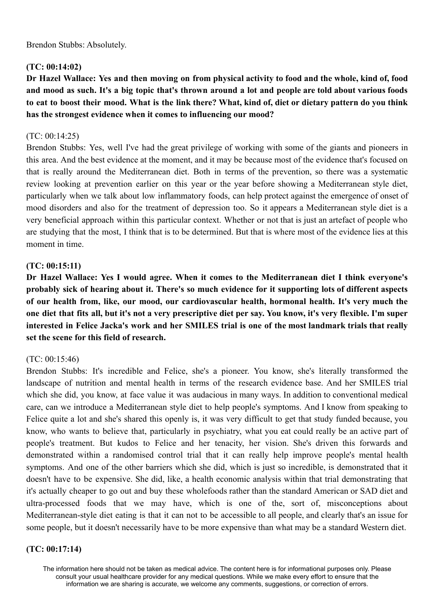Brendon Stubbs: Absolutely.

# **(TC: 00:14:02)**

Dr Hazel Wallace: Yes and then moving on from physical activity to food and the whole, kind of, food and mood as such. It's a big topic that's thrown around a lot and people are told about various foods to eat to boost their mood. What is the link there? What, kind of, diet or dietary pattern do you think **has the strongest evidence when it comes to influencing our mood?**

### (TC: 00:14:25)

Brendon Stubbs: Yes, well I've had the great privilege of working with some of the giants and pioneers in this area. And the best evidence at the moment, and it may be because most of the evidence that's focused on that is really around the Mediterranean diet. Both in terms of the prevention, so there was a systematic review looking at prevention earlier on this year or the year before showing a Mediterranean style diet, particularly when we talk about low inflammatory foods, can help protect against the emergence of onset of mood disorders and also for the treatment of depression too. So it appears a Mediterranean style diet is a very beneficial approach within this particular context. Whether or not that is just an artefact of people who are studying that the most, I think that is to be determined. But that is where most of the evidence lies at this moment in time.

# **(TC: 00:15:11)**

**Dr Hazel Wallace: Yes I would agree. When it comes to the Mediterranean diet I think everyone's probably sick of hearing about it. There's so much evidence for it supporting lots of different aspects of our health from, like, our mood, our cardiovascular health, hormonal health. It's very much the** one diet that fits all, but it's not a very prescriptive diet per say. You know, it's very flexible. I'm super interested in Felice Jacka's work and her SMILES trial is one of the most landmark trials that really **set the scene for this field of research.**

# (TC: 00:15:46)

Brendon Stubbs: It's incredible and Felice, she's a pioneer. You know, she's literally transformed the landscape of nutrition and mental health in terms of the research evidence base. And her SMILES trial which she did, you know, at face value it was audacious in many ways. In addition to conventional medical care, can we introduce a Mediterranean style diet to help people's symptoms. And I know from speaking to Felice quite a lot and she's shared this openly is, it was very difficult to get that study funded because, you know, who wants to believe that, particularly in psychiatry, what you eat could really be an active part of people's treatment. But kudos to Felice and her tenacity, her vision. She's driven this forwards and demonstrated within a randomised control trial that it can really help improve people's mental health symptoms. And one of the other barriers which she did, which is just so incredible, is demonstrated that it doesn't have to be expensive. She did, like, a health economic analysis within that trial demonstrating that it's actually cheaper to go out and buy these wholefoods rather than the standard American or SAD diet and ultra-processed foods that we may have, which is one of the, sort of, misconceptions about Mediterranean-style diet eating is that it can not to be accessible to all people, and clearly that's an issue for some people, but it doesn't necessarily have to be more expensive than what may be a standard Western diet.

# **(TC: 00:17:14)**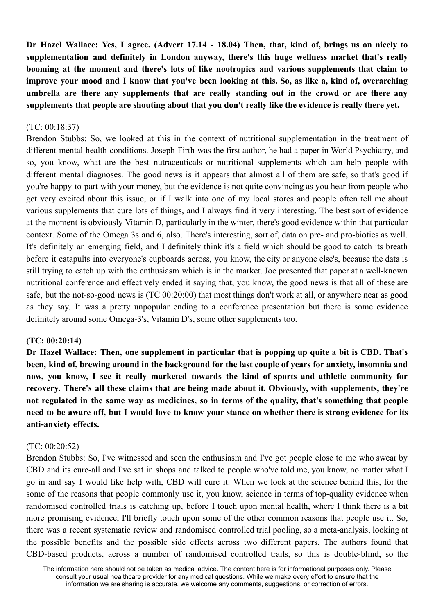Dr Hazel Wallace: Yes, I agree, (Advert 17.14 - 18.04) Then, that, kind of, brings us on nicely to **supplementation and definitely in London anyway, there's this huge wellness market that's really booming at the moment and there's lots of like nootropics and various supplements that claim to** improve your mood and I know that you've been looking at this. So, as like a, kind of, overarching **umbrella are there any supplements that are really standing out in the crowd or are there any supplements that people are shouting about that you don't really like the evidence is really there yet.**

### (TC: 00:18:37)

Brendon Stubbs: So, we looked at this in the context of nutritional supplementation in the treatment of different mental health conditions. Joseph Firth was the first author, he had a paper in World Psychiatry, and so, you know, what are the best nutraceuticals or nutritional supplements which can help people with different mental diagnoses. The good news is it appears that almost all of them are safe, so that's good if you're happy to part with your money, but the evidence is not quite convincing as you hear from people who get very excited about this issue, or if I walk into one of my local stores and people often tell me about various supplements that cure lots of things, and I always find it very interesting. The best sort of evidence at the moment is obviously Vitamin D, particularly in the winter, there's good evidence within that particular context. Some of the Omega 3s and 6, also. There's interesting, sort of, data on pre- and pro-biotics as well. It's definitely an emerging field, and I definitely think it's a field which should be good to catch its breath before it catapults into everyone's cupboards across, you know, the city or anyone else's, because the data is still trying to catch up with the enthusiasm which is in the market. Joe presented that paper at a well-known nutritional conference and effectively ended it saying that, you know, the good news is that all of these are safe, but the not-so-good news is (TC 00:20:00) that most things don't work at all, or anywhere near as good as they say. It was a pretty unpopular ending to a conference presentation but there is some evidence definitely around some Omega-3's, Vitamin D's, some other supplements too.

#### **(TC: 00:20:14)**

**Dr Hazel Wallace: Then, one supplement in particular that is popping up quite a bit is CBD. That's** been, kind of, brewing around in the background for the last couple of years for anxiety, insomnia and **now, you know, I see it really marketed towards the kind of sports and athletic community for recovery. There's all these claims that are being made about it. Obviously, with supplements, they're** not regulated in the same way as medicines, so in terms of the quality, that's something that people need to be aware off, but I would love to know your stance on whether there is strong evidence for its **anti-anxiety effects.**

# (TC: 00:20:52)

Brendon Stubbs: So, I've witnessed and seen the enthusiasm and I've got people close to me who swear by CBD and its cure-all and I've sat in shops and talked to people who've told me, you know, no matter what I go in and say I would like help with, CBD will cure it. When we look at the science behind this, for the some of the reasons that people commonly use it, you know, science in terms of top-quality evidence when randomised controlled trials is catching up, before I touch upon mental health, where I think there is a bit more promising evidence, I'll briefly touch upon some of the other common reasons that people use it. So, there was a recent systematic review and randomised controlled trial pooling, so a meta-analysis, looking at the possible benefits and the possible side effects across two different papers. The authors found that CBD-based products, across a number of randomised controlled trails, so this is double-blind, so the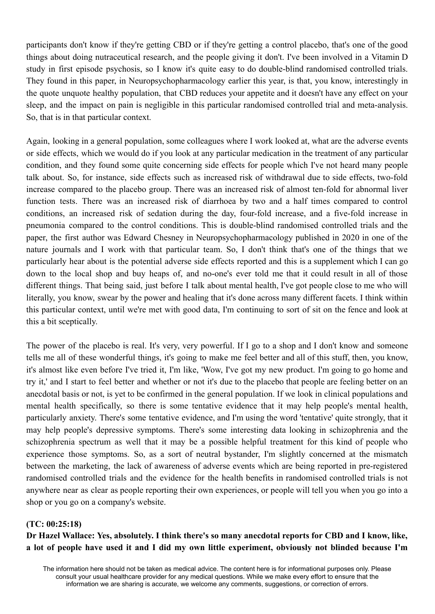participants don't know if they're getting CBD or if they're getting a control placebo, that's one of the good things about doing nutraceutical research, and the people giving it don't. I've been involved in a Vitamin D study in first episode psychosis, so I know it's quite easy to do double-blind randomised controlled trials. They found in this paper, in Neuropsychopharmacology earlier this year, is that, you know, interestingly in the quote unquote healthy population, that CBD reduces your appetite and it doesn't have any effect on your sleep, and the impact on pain is negligible in this particular randomised controlled trial and meta-analysis. So, that is in that particular context.

Again, looking in a general population, some colleagues where I work looked at, what are the adverse events or side effects, which we would do if you look at any particular medication in the treatment of any particular condition, and they found some quite concerning side effects for people which I've not heard many people talk about. So, for instance, side effects such as increased risk of withdrawal due to side effects, two-fold increase compared to the placebo group. There was an increased risk of almost ten-fold for abnormal liver function tests. There was an increased risk of diarrhoea by two and a half times compared to control conditions, an increased risk of sedation during the day, four-fold increase, and a five-fold increase in pneumonia compared to the control conditions. This is double-blind randomised controlled trials and the paper, the first author was Edward Chesney in Neuropsychopharmacology published in 2020 in one of the nature journals and I work with that particular team. So, I don't think that's one of the things that we particularly hear about is the potential adverse side effects reported and this is a supplement which I can go down to the local shop and buy heaps of, and no-one's ever told me that it could result in all of those different things. That being said, just before I talk about mental health, I've got people close to me who will literally, you know, swear by the power and healing that it's done across many different facets. I think within this particular context, until we're met with good data, I'm continuing to sort of sit on the fence and look at this a bit sceptically.

The power of the placebo is real. It's very, very powerful. If I go to a shop and I don't know and someone tells me all of these wonderful things, it's going to make me feel better and all of this stuff, then, you know, it's almost like even before I've tried it, I'm like, 'Wow, I've got my new product. I'm going to go home and try it,' and I start to feel better and whether or not it's due to the placebo that people are feeling better on an anecdotal basis or not, is yet to be confirmed in the general population. If we look in clinical populations and mental health specifically, so there is some tentative evidence that it may help people's mental health, particularly anxiety. There's some tentative evidence, and I'm using the word 'tentative' quite strongly, that it may help people's depressive symptoms. There's some interesting data looking in schizophrenia and the schizophrenia spectrum as well that it may be a possible helpful treatment for this kind of people who experience those symptoms. So, as a sort of neutral bystander, I'm slightly concerned at the mismatch between the marketing, the lack of awareness of adverse events which are being reported in pre-registered randomised controlled trials and the evidence for the health benefits in randomised controlled trials is not anywhere near as clear as people reporting their own experiences, or people will tell you when you go into a shop or you go on a company's website.

#### **(TC: 00:25:18)**

Dr Hazel Wallace: Yes, absolutely. I think there's so many anecdotal reports for CBD and I know, like, a lot of people have used it and I did my own little experiment, obviously not blinded because I'm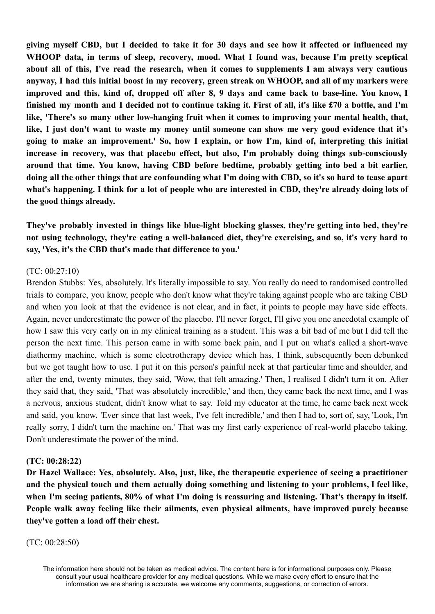giving myself CBD, but I decided to take it for 30 days and see how it affected or influenced my **WHOOP data, in terms of sleep, recovery, mood. What I found was, because I'm pretty sceptical about all of this, I've read the research, when it comes to supplements I am always very cautious** anyway, I had this initial boost in my recovery, green streak on WHOOP, and all of my markers were improved and this, kind of, dropped off after 8, 9 days and came back to base-line. You know, I finished my month and I decided not to continue taking it. First of all, it's like £70 a bottle, and I'm **like, 'There's so many other low-hanging fruit when it comes to improving your mental health, that,** like. I just don't want to waste my money until someone can show me very good evidence that it's **going to make an improvement.' So, how I explain, or how I'm, kind of, interpreting this initial increase in recovery, was that placebo effect, but also, I'm probably doing things sub-consciously around that time. You know, having CBD before bedtime, probably getting into bed a bit earlier,** doing all the other things that are confounding what I'm doing with CBD, so it's so hard to tease apart what's happening. I think for a lot of people who are interested in CBD, they're already doing lots of **the good things already.**

**They've probably invested in things like blue-light blocking glasses, they're getting into bed, they're not using technology, they're eating a well-balanced diet, they're exercising, and so, it's very hard to say, 'Yes, it's the CBD that's made that difference to you.'**

#### (TC: 00:27:10)

Brendon Stubbs: Yes, absolutely. It's literally impossible to say. You really do need to randomised controlled trials to compare, you know, people who don't know what they're taking against people who are taking CBD and when you look at that the evidence is not clear, and in fact, it points to people may have side effects. Again, never underestimate the power of the placebo. I'll never forget, I'll give you one anecdotal example of how I saw this very early on in my clinical training as a student. This was a bit bad of me but I did tell the person the next time. This person came in with some back pain, and I put on what's called a short-wave diathermy machine, which is some electrotherapy device which has, I think, subsequently been debunked but we got taught how to use. I put it on this person's painful neck at that particular time and shoulder, and after the end, twenty minutes, they said, 'Wow, that felt amazing.' Then, I realised I didn't turn it on. After they said that, they said, 'That was absolutely incredible,' and then, they came back the next time, and I was a nervous, anxious student, didn't know what to say. Told my educator at the time, he came back next week and said, you know, 'Ever since that last week, I've felt incredible,' and then I had to, sort of, say, 'Look, I'm really sorry, I didn't turn the machine on.' That was my first early experience of real-world placebo taking. Don't underestimate the power of the mind.

# **(TC: 00:28:22)**

**Dr Hazel Wallace: Yes, absolutely. Also, just, like, the therapeutic experience of seeing a practitioner and the physical touch and them actually doing something and listening to your problems, I feel like, when I'm seeing patients, 80% of what I'm doing is reassuring and listening. That's therapy in itself. People walk away feeling like their ailments, even physical ailments, have improved purely because they've gotten a load off their chest.**

#### (TC: 00:28:50)

The information here should not be taken as medical advice. The content here is for informational purposes only. Please consult your usual healthcare provider for any medical questions. While we make every effort to ensure that the information we are sharing is accurate, we welcome any comments, suggestions, or correction of errors.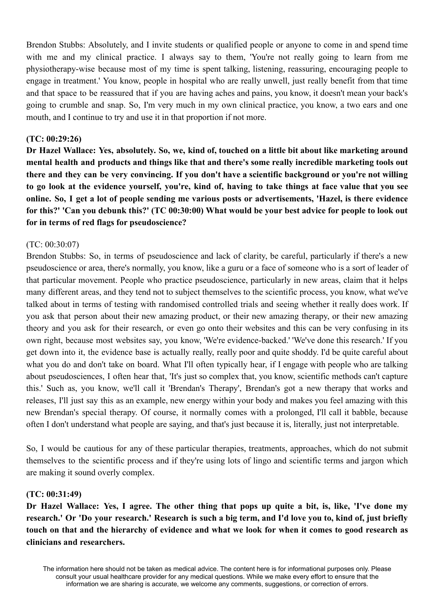Brendon Stubbs: Absolutely, and I invite students or qualified people or anyone to come in and spend time with me and my clinical practice. I always say to them, 'You're not really going to learn from me physiotherapy-wise because most of my time is spent talking, listening, reassuring, encouraging people to engage in treatment.' You know, people in hospital who are really unwell, just really benefit from that time and that space to be reassured that if you are having aches and pains, you know, it doesn't mean your back's going to crumble and snap. So, I'm very much in my own clinical practice, you know, a two ears and one mouth, and I continue to try and use it in that proportion if not more.

#### **(TC: 00:29:26)**

Dr Hazel Wallace: Yes, absolutely, So, we, kind of, touched on a little bit about like marketing around **mental health and products and things like that and there's some really incredible marketing tools out** there and they can be very convincing. If you don't have a scientific background or you're not willing to go look at the evidence yourself, you're, kind of, having to take things at face value that you see online. So, I get a lot of people sending me various posts or advertisements, 'Hazel, is there evidence for this?' 'Can you debunk this?' (TC 00:30:00) What would be your best advice for people to look out **for in terms of red flags for pseudoscience?**

#### (TC: 00:30:07)

Brendon Stubbs: So, in terms of pseudoscience and lack of clarity, be careful, particularly if there's a new pseudoscience or area, there's normally, you know, like a guru or a face of someone who is a sort of leader of that particular movement. People who practice pseudoscience, particularly in new areas, claim that it helps many different areas, and they tend not to subject themselves to the scientific process, you know, what we've talked about in terms of testing with randomised controlled trials and seeing whether it really does work. If you ask that person about their new amazing product, or their new amazing therapy, or their new amazing theory and you ask for their research, or even go onto their websites and this can be very confusing in its own right, because most websites say, you know, 'We're evidence-backed.' 'We've done this research.' If you get down into it, the evidence base is actually really, really poor and quite shoddy. I'd be quite careful about what you do and don't take on board. What I'll often typically hear, if I engage with people who are talking about pseudosciences, I often hear that, 'It's just so complex that, you know, scientific methods can't capture this.' Such as, you know, we'll call it 'Brendan's Therapy', Brendan's got a new therapy that works and releases, I'll just say this as an example, new energy within your body and makes you feel amazing with this new Brendan's special therapy. Of course, it normally comes with a prolonged, I'll call it babble, because often I don't understand what people are saying, and that's just because it is, literally, just not interpretable.

So, I would be cautious for any of these particular therapies, treatments, approaches, which do not submit themselves to the scientific process and if they're using lots of lingo and scientific terms and jargon which are making it sound overly complex.

#### **(TC: 00:31:49)**

Dr Hazel Wallace: Yes, I agree. The other thing that pops up quite a bit, is, like, 'I've done my research.' Or 'Do your research.' Research is such a big term, and I'd love you to, kind of, just briefly touch on that and the hierarchy of evidence and what we look for when it comes to good research as **clinicians and researchers.**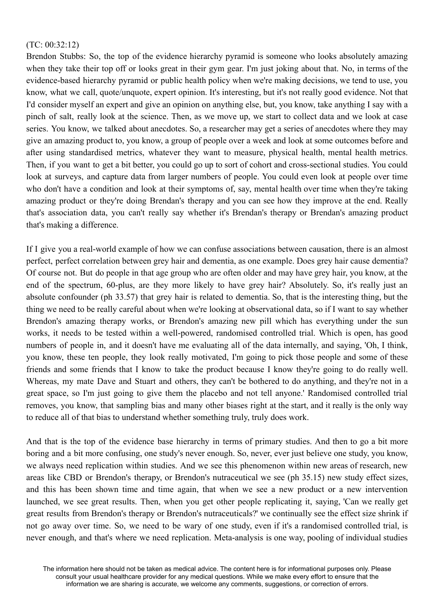### (TC: 00:32:12)

Brendon Stubbs: So, the top of the evidence hierarchy pyramid is someone who looks absolutely amazing when they take their top off or looks great in their gym gear. I'm just joking about that. No, in terms of the evidence-based hierarchy pyramid or public health policy when we're making decisions, we tend to use, you know, what we call, quote/unquote, expert opinion. It's interesting, but it's not really good evidence. Not that I'd consider myself an expert and give an opinion on anything else, but, you know, take anything I say with a pinch of salt, really look at the science. Then, as we move up, we start to collect data and we look at case series. You know, we talked about anecdotes. So, a researcher may get a series of anecdotes where they may give an amazing product to, you know, a group of people over a week and look at some outcomes before and after using standardised metrics, whatever they want to measure, physical health, mental health metrics. Then, if you want to get a bit better, you could go up to sort of cohort and cross-sectional studies. You could look at surveys, and capture data from larger numbers of people. You could even look at people over time who don't have a condition and look at their symptoms of, say, mental health over time when they're taking amazing product or they're doing Brendan's therapy and you can see how they improve at the end. Really that's association data, you can't really say whether it's Brendan's therapy or Brendan's amazing product that's making a difference.

If I give you a real-world example of how we can confuse associations between causation, there is an almost perfect, perfect correlation between grey hair and dementia, as one example. Does grey hair cause dementia? Of course not. But do people in that age group who are often older and may have grey hair, you know, at the end of the spectrum, 60-plus, are they more likely to have grey hair? Absolutely. So, it's really just an absolute confounder (ph 33.57) that grey hair is related to dementia. So, that is the interesting thing, but the thing we need to be really careful about when we're looking at observational data, so if I want to say whether Brendon's amazing therapy works, or Brendon's amazing new pill which has everything under the sun works, it needs to be tested within a well-powered, randomised controlled trial. Which is open, has good numbers of people in, and it doesn't have me evaluating all of the data internally, and saying, 'Oh, I think, you know, these ten people, they look really motivated, I'm going to pick those people and some of these friends and some friends that I know to take the product because I know they're going to do really well. Whereas, my mate Dave and Stuart and others, they can't be bothered to do anything, and they're not in a great space, so I'm just going to give them the placebo and not tell anyone.' Randomised controlled trial removes, you know, that sampling bias and many other biases right at the start, and it really is the only way to reduce all of that bias to understand whether something truly, truly does work.

And that is the top of the evidence base hierarchy in terms of primary studies. And then to go a bit more boring and a bit more confusing, one study's never enough. So, never, ever just believe one study, you know, we always need replication within studies. And we see this phenomenon within new areas of research, new areas like CBD or Brendon's therapy, or Brendon's nutraceutical we see (ph 35.15) new study effect sizes, and this has been shown time and time again, that when we see a new product or a new intervention launched, we see great results. Then, when you get other people replicating it, saying, 'Can we really get great results from Brendon's therapy or Brendon's nutraceuticals?' we continually see the effect size shrink if not go away over time. So, we need to be wary of one study, even if it's a randomised controlled trial, is never enough, and that's where we need replication. Meta-analysis is one way, pooling of individual studies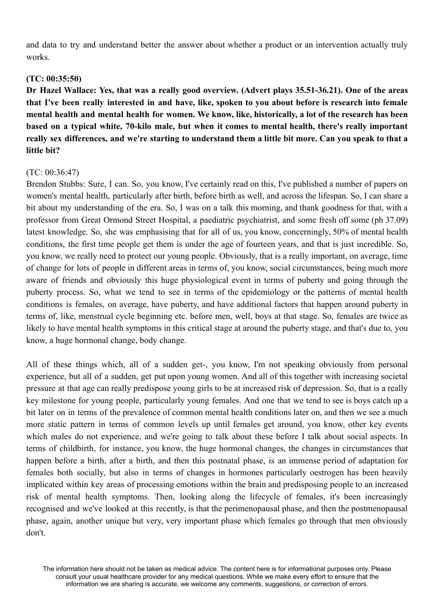and data to try and understand better the answer about whether a product or an intervention actually truly works.

### **(TC: 00:35:50)**

**Dr Hazel Wallace: Yes, that was a really good overview. (Advert plays 35.51-36.21). One of the areas** that I've been really interested in and have, like, spoken to you about before is research into female mental health and mental health for women. We know, like, historically, a lot of the research has been **based on a typical white, 70-kilo male, but when it comes to mental health, there's really important** really sex differences, and we're starting to understand them a little bit more. Can you speak to that a **little bit?**

### $(TC: 00.36.47)$

Brendon Stubbs: Sure, I can. So, you know, I've certainly read on this, I've published a number of papers on women's mental health, particularly after birth, before birth as well, and across the lifespan. So, I can share a bit about my understanding of the era. So, I was on a talk this morning, and thank goodness for that, with a professor from Great Ormond Street Hospital, a paediatric psychiatrist, and some fresh off some (ph 37.09) latest knowledge. So, she was emphasising that for all of us, you know, concerningly, 50% of mental health conditions, the first time people get them is under the age of fourteen years, and that is just incredible. So, you know, we really need to protect our young people. Obviously, that is a really important, on average, time of change for lots of people in different areas in terms of, you know, social circumstances, being much more aware of friends and obviously this huge physiological event in terms of puberty and going through the puberty process. So, what we tend to see in terms of the epidemiology or the patterns of mental health conditions is females, on average, have puberty, and have additional factors that happen around puberty in terms of, like, menstrual cycle beginning etc. before men, well, boys at that stage. So, females are twice as likely to have mental health symptoms in this critical stage at around the puberty stage, and that's due to, you know, a huge hormonal change, body change.

All of these things which, all of a sudden get-, you know, I'm not speaking obviously from personal experience, but all of a sudden, get put upon young women. And all of this together with increasing societal pressure at that age can really predispose young girls to be at increased risk of depression. So, that is a really key milestone for young people, particularly young females. And one that we tend to see is boys catch up a bit later on in terms of the prevalence of common mental health conditions later on, and then we see a much more static pattern in terms of common levels up until females get around, you know, other key events which males do not experience, and we're going to talk about these before I talk about social aspects. In terms of childbirth, for instance, you know, the huge hormonal changes, the changes in circumstances that happen before a birth, after a birth, and then this postnatal phase, is an immense period of adaptation for females both socially, but also in terms of changes in hormones particularly oestrogen has been heavily implicated within key areas of processing emotions within the brain and predisposing people to an increased risk of mental health symptoms. Then, looking along the lifecycle of females, it's been increasingly recognised and we've looked at this recently, is that the perimenopausal phase, and then the postmenopausal phase, again, another unique but very, very important phase which females go through that men obviously don't.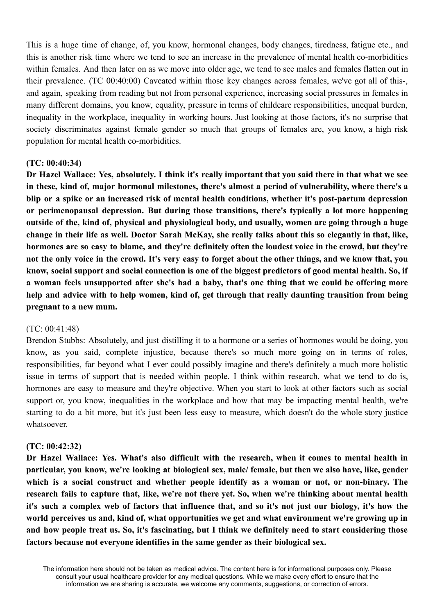This is a huge time of change, of, you know, hormonal changes, body changes, tiredness, fatigue etc., and this is another risk time where we tend to see an increase in the prevalence of mental health co-morbidities within females. And then later on as we move into older age, we tend to see males and females flatten out in their prevalence. (TC 00:40:00) Caveated within those key changes across females, we've got all of this-, and again, speaking from reading but not from personal experience, increasing social pressures in females in many different domains, you know, equality, pressure in terms of childcare responsibilities, unequal burden, inequality in the workplace, inequality in working hours. Just looking at those factors, it's no surprise that society discriminates against female gender so much that groups of females are, you know, a high risk population for mental health co-morbidities.

#### **(TC: 00:40:34)**

Dr Hazel Wallace: Yes, absolutely. I think it's really important that you said there in that what we see **in these, kind of, major hormonal milestones, there's almost a period of vulnerability, where there's a blip or a spike or an increased risk of mental health conditions, whether it's post-partum depression or perimenopausal depression. But during those transitions, there's typically a lot more happening outside of the, kind of, physical and physiological body, and usually, women are going through a huge** change in their life as well. Doctor Sarah McKay, she really talks about this so elegantly in that, like, hormones are so easy to blame, and they're definitely often the loudest voice in the crowd, but they're not the only voice in the crowd. It's very easy to forget about the other things, and we know that, you know, social support and social connection is one of the biggest predictors of good mental health. So, if **a woman feels unsupported after she's had a baby, that's one thing that we could be offering more help and advice with to help women, kind of, get through that really daunting transition from being pregnant to a new mum.**

#### (TC: 00:41:48)

Brendon Stubbs: Absolutely, and just distilling it to a hormone or a series of hormones would be doing, you know, as you said, complete injustice, because there's so much more going on in terms of roles, responsibilities, far beyond what I ever could possibly imagine and there's definitely a much more holistic issue in terms of support that is needed within people. I think within research, what we tend to do is, hormones are easy to measure and they're objective. When you start to look at other factors such as social support or, you know, inequalities in the workplace and how that may be impacting mental health, we're starting to do a bit more, but it's just been less easy to measure, which doesn't do the whole story justice whatsoever.

#### **(TC: 00:42:32)**

**Dr Hazel Wallace: Yes. What's also difficult with the research, when it comes to mental health in particular, you know, we're looking at biological sex, male/ female, but then we also have, like, gender which is a social construct and whether people identify as a woman or not, or non-binary. The research fails to capture that, like, we're not there yet. So, when we're thinking about mental health** it's such a complex web of factors that influence that, and so it's not just our biology, it's how the **world perceives us and, kind of, what opportunities we get and what environment we're growing up in** and how people treat us. So, it's fascinating, but I think we definitely need to start considering those **factors because not everyone identifies in the same gender as their biological sex.**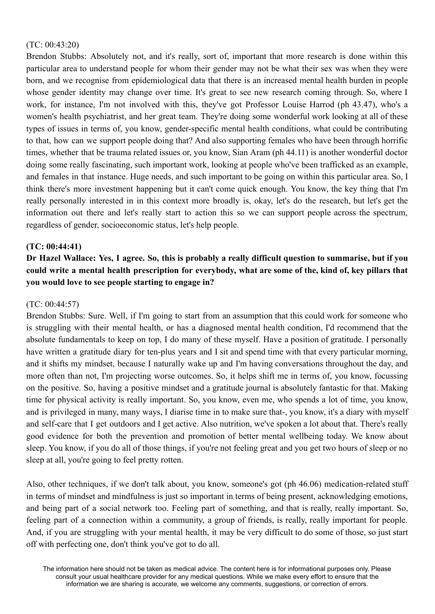### (TC: 00:43:20)

Brendon Stubbs: Absolutely not, and it's really, sort of, important that more research is done within this particular area to understand people for whom their gender may not be what their sex was when they were born, and we recognise from epidemiological data that there is an increased mental health burden in people whose gender identity may change over time. It's great to see new research coming through. So, where I work, for instance, I'm not involved with this, they've got Professor Louise Harrod (ph 43.47), who's a women's health psychiatrist, and her great team. They're doing some wonderful work looking at all of these types of issues in terms of, you know, gender-specific mental health conditions, what could be contributing to that, how can we support people doing that? And also supporting females who have been through horrific times, whether that be trauma related issues or, you know, Sian Aram (ph 44.11) is another wonderful doctor doing some really fascinating, such important work, looking at people who've been trafficked as an example, and females in that instance. Huge needs, and such important to be going on within this particular area. So, I think there's more investment happening but it can't come quick enough. You know, the key thing that I'm really personally interested in in this context more broadly is, okay, let's do the research, but let's get the information out there and let's really start to action this so we can support people across the spectrum, regardless of gender, socioeconomic status, let's help people.

# **(TC: 00:44:41)**

# Dr Hazel Wallace: Yes, I agree. So, this is probably a really difficult question to summarise, but if you could write a mental health prescription for everybody, what are some of the, kind of, key pillars that **you would love to see people starting to engage in?**

# (TC: 00:44:57)

Brendon Stubbs: Sure. Well, if I'm going to start from an assumption that this could work for someone who is struggling with their mental health, or has a diagnosed mental health condition, I'd recommend that the absolute fundamentals to keep on top, I do many of these myself. Have a position of gratitude. I personally have written a gratitude diary for ten-plus years and I sit and spend time with that every particular morning, and it shifts my mindset, because I naturally wake up and I'm having conversations throughout the day, and more often than not, I'm projecting worse outcomes. So, it helps shift me in terms of, you know, focussing on the positive. So, having a positive mindset and a gratitude journal is absolutely fantastic for that. Making time for physical activity is really important. So, you know, even me, who spends a lot of time, you know, and is privileged in many, many ways, I diarise time in to make sure that-, you know, it's a diary with myself and self-care that I get outdoors and I get active. Also nutrition, we've spoken a lot about that. There's really good evidence for both the prevention and promotion of better mental wellbeing today. We know about sleep. You know, if you do all of those things, if you're not feeling great and you get two hours of sleep or no sleep at all, you're going to feel pretty rotten.

Also, other techniques, if we don't talk about, you know, someone's got (ph 46.06) medication-related stuff in terms of mindset and mindfulness is just so important in terms of being present, acknowledging emotions, and being part of a social network too. Feeling part of something, and that is really, really important. So, feeling part of a connection within a community, a group of friends, is really, really important for people. And, if you are struggling with your mental health, it may be very difficult to do some of those, so just start off with perfecting one, don't think you've got to do all.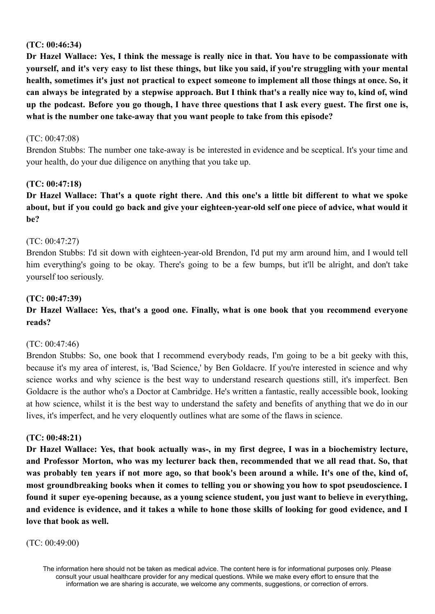# **(TC: 00:46:34)**

Dr Hazel Wallace: Yes, I think the message is really nice in that. You have to be compassionate with vourself, and it's very easy to list these things, but like you said, if you're struggling with your mental health, sometimes it's just not practical to expect someone to implement all those things at once. So, it can always be integrated by a stepwise approach. But I think that's a really nice way to, kind of, wind up the podcast. Before you go though, I have three questions that I ask every guest. The first one is, **what is the number one take-away that you want people to take from this episode?**

### (TC: 00:47:08)

Brendon Stubbs: The number one take-away is be interested in evidence and be sceptical. It's your time and your health, do your due diligence on anything that you take up.

# **(TC: 00:47:18)**

Dr Hazel Wallace: That's a quote right there. And this one's a little bit different to what we spoke about, but if you could go back and give your eighteen-year-old self one piece of advice, what would it **be?**

# (TC: 00:47:27)

Brendon Stubbs: I'd sit down with eighteen-year-old Brendon, I'd put my arm around him, and I would tell him everything's going to be okay. There's going to be a few bumps, but it'll be alright, and don't take yourself too seriously.

### **(TC: 00:47:39)**

# **Dr Hazel Wallace: Yes, that's a good one. Finally, what is one book that you recommend everyone reads?**

#### (TC: 00:47:46)

Brendon Stubbs: So, one book that I recommend everybody reads, I'm going to be a bit geeky with this, because it's my area of interest, is, 'Bad Science,' by Ben Goldacre. If you're interested in science and why science works and why science is the best way to understand research questions still, it's imperfect. Ben Goldacre is the author who's a Doctor at Cambridge. He's written a fantastic, really accessible book, looking at how science, whilst it is the best way to understand the safety and benefits of anything that we do in our lives, it's imperfect, and he very eloquently outlines what are some of the flaws in science.

#### **(TC: 00:48:21)**

Dr Hazel Wallace: Yes, that book actually was-, in my first degree, I was in a biochemistry lecture, **and Professor Morton, who was my lecturer back then, recommended that we all read that. So, that** was probably ten years if not more ago, so that book's been around a while. It's one of the, kind of, **most groundbreaking books when it comes to telling you or showing you how to spot pseudoscience. I found it super eye-opening because, as a young science student, you just want to believe in everything,** and evidence is evidence, and it takes a while to hone those skills of looking for good evidence, and I **love that book as well.**

#### (TC: 00:49:00)